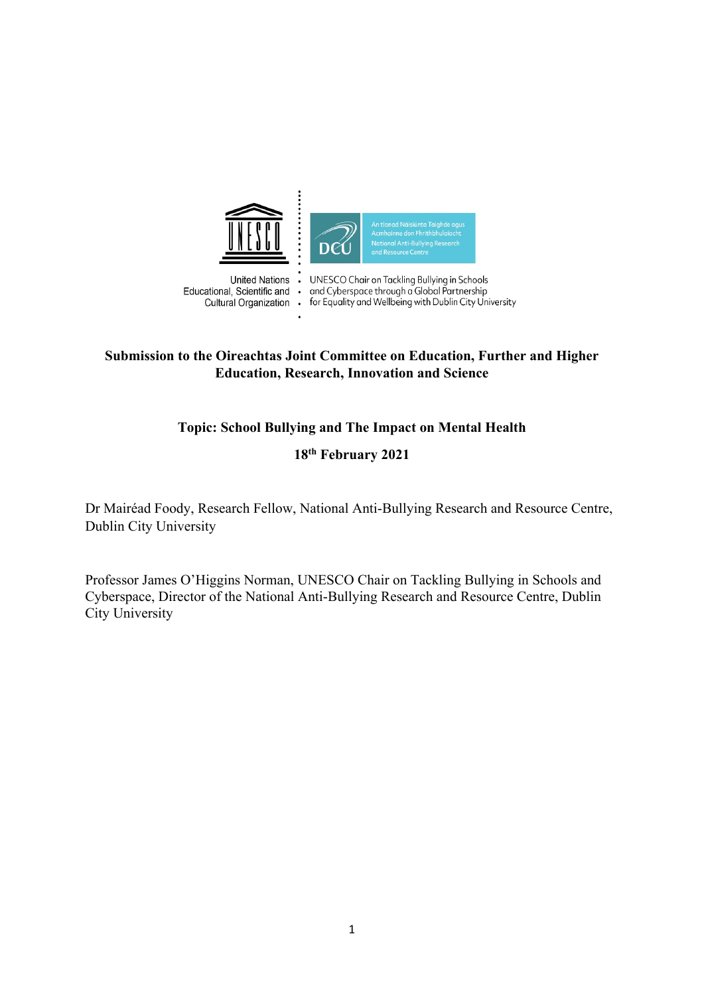

 $\cdot$ 

**United Nations** Educational, Scientific and  $\ddot{\phantom{0}}$ Cultural Organization .

UNESCO Chair on Tackling Bullying in Schools<br>and Cyberspace through a Global Partnership for Equality and Wellbeing with Dublin City University

# **Submission to the Oireachtas Joint Committee on Education, Further and Higher Education, Research, Innovation and Science**

# **Topic: School Bullying and The Impact on Mental Health**

# **18th February 2021**

Dr Mairéad Foody, Research Fellow, National Anti-Bullying Research and Resource Centre, Dublin City University

Professor James O'Higgins Norman, UNESCO Chair on Tackling Bullying in Schools and Cyberspace, Director of the National Anti-Bullying Research and Resource Centre, Dublin City University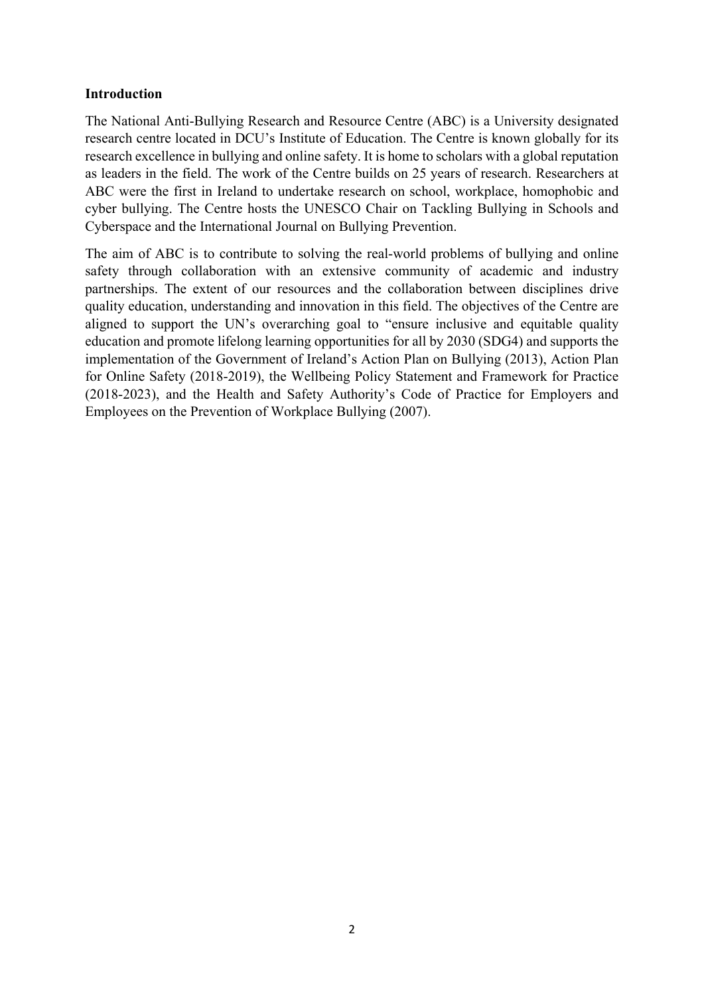## **Introduction**

The National Anti-Bullying Research and Resource Centre (ABC) is a University designated research centre located in DCU's Institute of Education. The Centre is known globally for its research excellence in bullying and online safety. It is home to scholars with a global reputation as leaders in the field. The work of the Centre builds on 25 years of research. Researchers at ABC were the first in Ireland to undertake research on school, workplace, homophobic and cyber bullying. The Centre hosts the UNESCO Chair on Tackling Bullying in Schools and Cyberspace and the International Journal on Bullying Prevention.

The aim of ABC is to contribute to solving the real-world problems of bullying and online safety through collaboration with an extensive community of academic and industry partnerships. The extent of our resources and the collaboration between disciplines drive quality education, understanding and innovation in this field. The objectives of the Centre are aligned to support the UN's overarching goal to "ensure inclusive and equitable quality education and promote lifelong learning opportunities for all by 2030 (SDG4) and supports the implementation of the Government of Ireland's Action Plan on Bullying (2013), Action Plan for Online Safety (2018-2019), the Wellbeing Policy Statement and Framework for Practice (2018-2023), and the Health and Safety Authority's Code of Practice for Employers and Employees on the Prevention of Workplace Bullying (2007).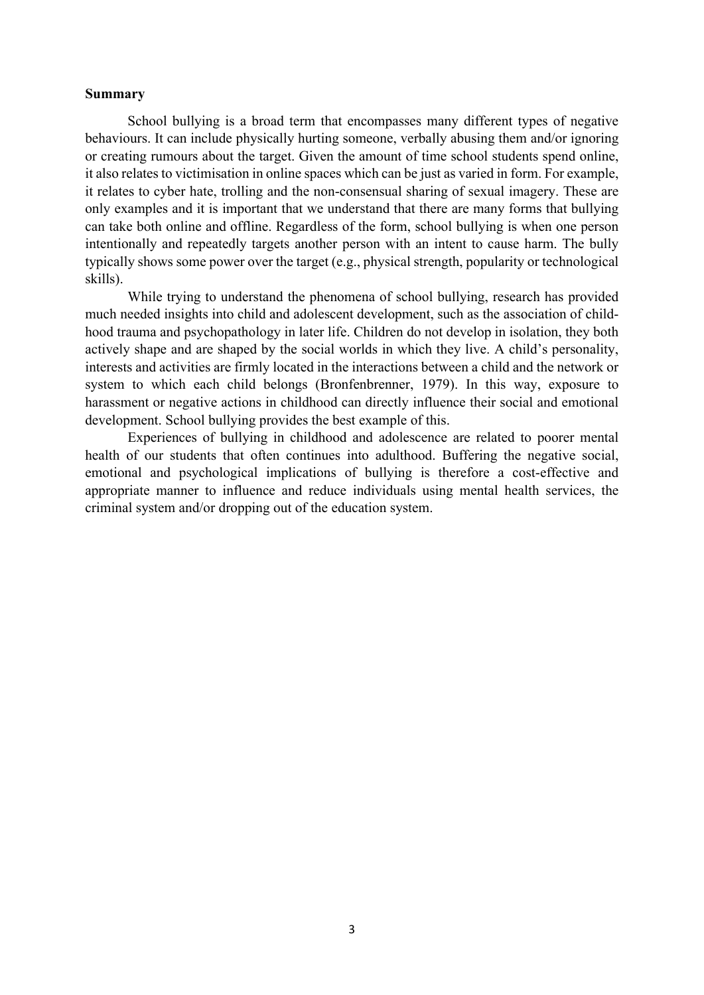### **Summary**

School bullying is a broad term that encompasses many different types of negative behaviours. It can include physically hurting someone, verbally abusing them and/or ignoring or creating rumours about the target. Given the amount of time school students spend online, it also relates to victimisation in online spaces which can be just as varied in form. For example, it relates to cyber hate, trolling and the non-consensual sharing of sexual imagery. These are only examples and it is important that we understand that there are many forms that bullying can take both online and offline. Regardless of the form, school bullying is when one person intentionally and repeatedly targets another person with an intent to cause harm. The bully typically shows some power over the target (e.g., physical strength, popularity or technological skills).

While trying to understand the phenomena of school bullying, research has provided much needed insights into child and adolescent development, such as the association of childhood trauma and psychopathology in later life. Children do not develop in isolation, they both actively shape and are shaped by the social worlds in which they live. A child's personality, interests and activities are firmly located in the interactions between a child and the network or system to which each child belongs (Bronfenbrenner, 1979). In this way, exposure to harassment or negative actions in childhood can directly influence their social and emotional development. School bullying provides the best example of this.

Experiences of bullying in childhood and adolescence are related to poorer mental health of our students that often continues into adulthood. Buffering the negative social, emotional and psychological implications of bullying is therefore a cost-effective and appropriate manner to influence and reduce individuals using mental health services, the criminal system and/or dropping out of the education system.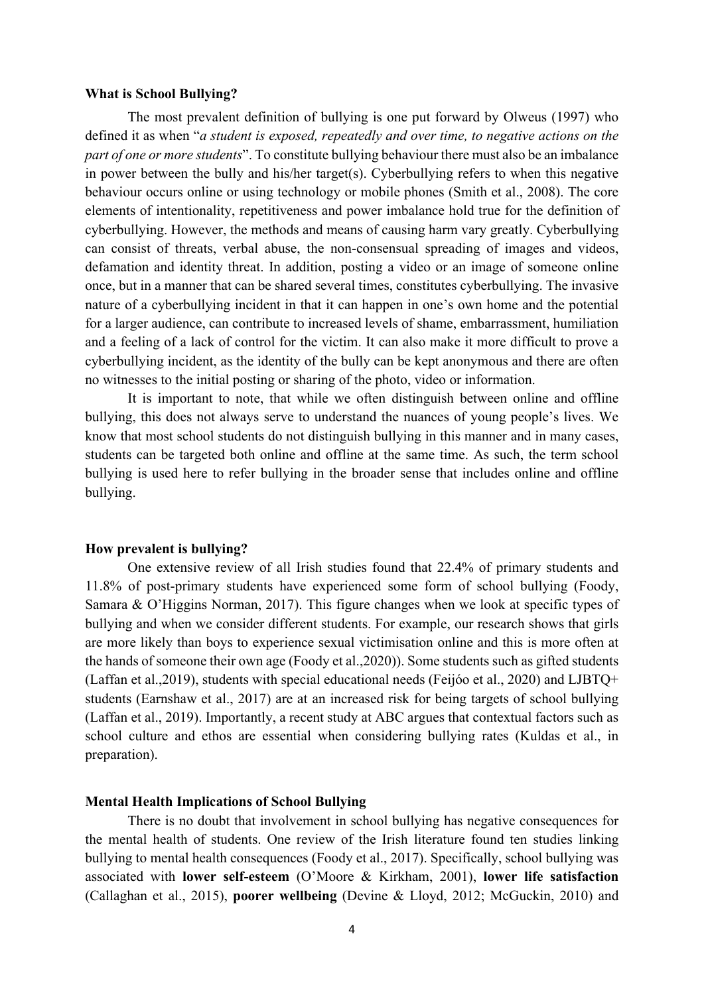#### **What is School Bullying?**

The most prevalent definition of bullying is one put forward by Olweus (1997) who defined it as when "*a student is exposed, repeatedly and over time, to negative actions on the part of one or more students*". To constitute bullying behaviour there must also be an imbalance in power between the bully and his/her target(s). Cyberbullying refers to when this negative behaviour occurs online or using technology or mobile phones (Smith et al., 2008). The core elements of intentionality, repetitiveness and power imbalance hold true for the definition of cyberbullying. However, the methods and means of causing harm vary greatly. Cyberbullying can consist of threats, verbal abuse, the non-consensual spreading of images and videos, defamation and identity threat. In addition, posting a video or an image of someone online once, but in a manner that can be shared several times, constitutes cyberbullying. The invasive nature of a cyberbullying incident in that it can happen in one's own home and the potential for a larger audience, can contribute to increased levels of shame, embarrassment, humiliation and a feeling of a lack of control for the victim. It can also make it more difficult to prove a cyberbullying incident, as the identity of the bully can be kept anonymous and there are often no witnesses to the initial posting or sharing of the photo, video or information.

It is important to note, that while we often distinguish between online and offline bullying, this does not always serve to understand the nuances of young people's lives. We know that most school students do not distinguish bullying in this manner and in many cases, students can be targeted both online and offline at the same time. As such, the term school bullying is used here to refer bullying in the broader sense that includes online and offline bullying.

#### **How prevalent is bullying?**

One extensive review of all Irish studies found that 22.4% of primary students and 11.8% of post-primary students have experienced some form of school bullying (Foody, Samara & O'Higgins Norman, 2017). This figure changes when we look at specific types of bullying and when we consider different students. For example, our research shows that girls are more likely than boys to experience sexual victimisation online and this is more often at the hands of someone their own age (Foody et al.,2020)). Some students such as gifted students (Laffan et al.,2019), students with special educational needs (Feijóo et al., 2020) and LJBTQ+ students (Earnshaw et al., 2017) are at an increased risk for being targets of school bullying (Laffan et al., 2019). Importantly, a recent study at ABC argues that contextual factors such as school culture and ethos are essential when considering bullying rates (Kuldas et al., in preparation).

### **Mental Health Implications of School Bullying**

There is no doubt that involvement in school bullying has negative consequences for the mental health of students. One review of the Irish literature found ten studies linking bullying to mental health consequences (Foody et al., 2017). Specifically, school bullying was associated with **lower self-esteem** (O'Moore & Kirkham, 2001), **lower life satisfaction** (Callaghan et al., 2015), **poorer wellbeing** (Devine & Lloyd, 2012; McGuckin, 2010) and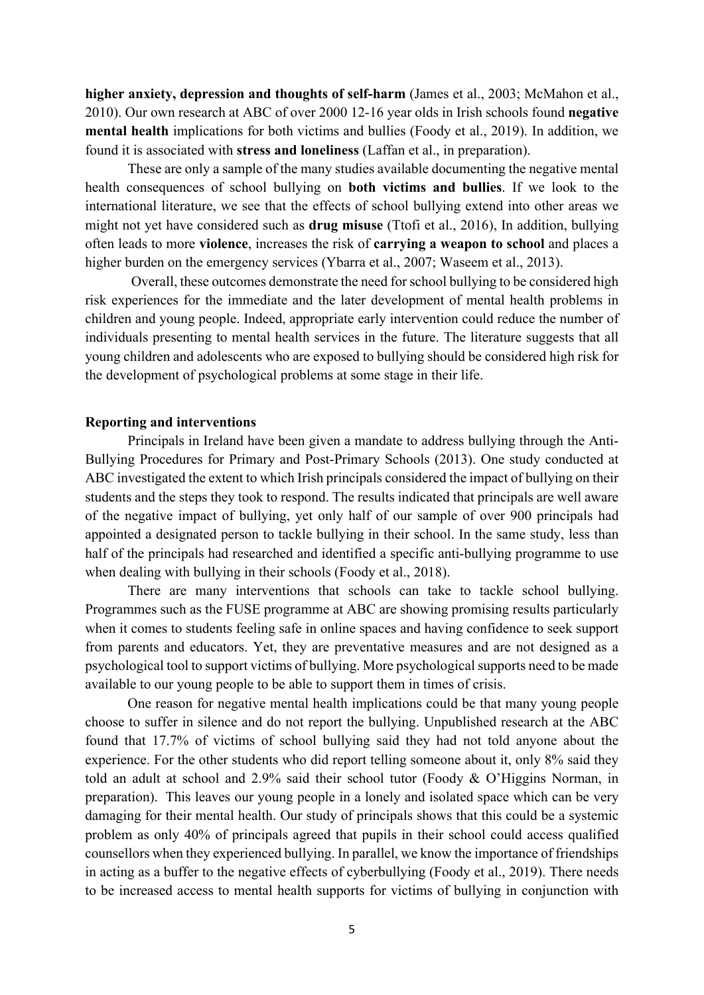**higher anxiety, depression and thoughts of self-harm** (James et al., 2003; McMahon et al., 2010). Our own research at ABC of over 2000 12-16 year olds in Irish schools found **negative mental health** implications for both victims and bullies (Foody et al., 2019). In addition, we found it is associated with **stress and loneliness** (Laffan et al., in preparation).

These are only a sample of the many studies available documenting the negative mental health consequences of school bullying on **both victims and bullies**. If we look to the international literature, we see that the effects of school bullying extend into other areas we might not yet have considered such as **drug misuse** (Ttofi et al., 2016), In addition, bullying often leads to more **violence**, increases the risk of **carrying a weapon to school** and places a higher burden on the emergency services (Ybarra et al., 2007; Waseem et al., 2013).

Overall, these outcomes demonstrate the need for school bullying to be considered high risk experiences for the immediate and the later development of mental health problems in children and young people. Indeed, appropriate early intervention could reduce the number of individuals presenting to mental health services in the future. The literature suggests that all young children and adolescents who are exposed to bullying should be considered high risk for the development of psychological problems at some stage in their life.

### **Reporting and interventions**

Principals in Ireland have been given a mandate to address bullying through the Anti-Bullying Procedures for Primary and Post-Primary Schools (2013). One study conducted at ABC investigated the extent to which Irish principals considered the impact of bullying on their students and the steps they took to respond. The results indicated that principals are well aware of the negative impact of bullying, yet only half of our sample of over 900 principals had appointed a designated person to tackle bullying in their school. In the same study, less than half of the principals had researched and identified a specific anti-bullying programme to use when dealing with bullying in their schools (Foody et al., 2018).

There are many interventions that schools can take to tackle school bullying. Programmes such as the FUSE programme at ABC are showing promising results particularly when it comes to students feeling safe in online spaces and having confidence to seek support from parents and educators. Yet, they are preventative measures and are not designed as a psychological tool to support victims of bullying. More psychological supports need to be made available to our young people to be able to support them in times of crisis.

One reason for negative mental health implications could be that many young people choose to suffer in silence and do not report the bullying. Unpublished research at the ABC found that 17.7% of victims of school bullying said they had not told anyone about the experience. For the other students who did report telling someone about it, only 8% said they told an adult at school and 2.9% said their school tutor (Foody & O'Higgins Norman, in preparation). This leaves our young people in a lonely and isolated space which can be very damaging for their mental health. Our study of principals shows that this could be a systemic problem as only 40% of principals agreed that pupils in their school could access qualified counsellors when they experienced bullying. In parallel, we know the importance of friendships in acting as a buffer to the negative effects of cyberbullying (Foody et al., 2019). There needs to be increased access to mental health supports for victims of bullying in conjunction with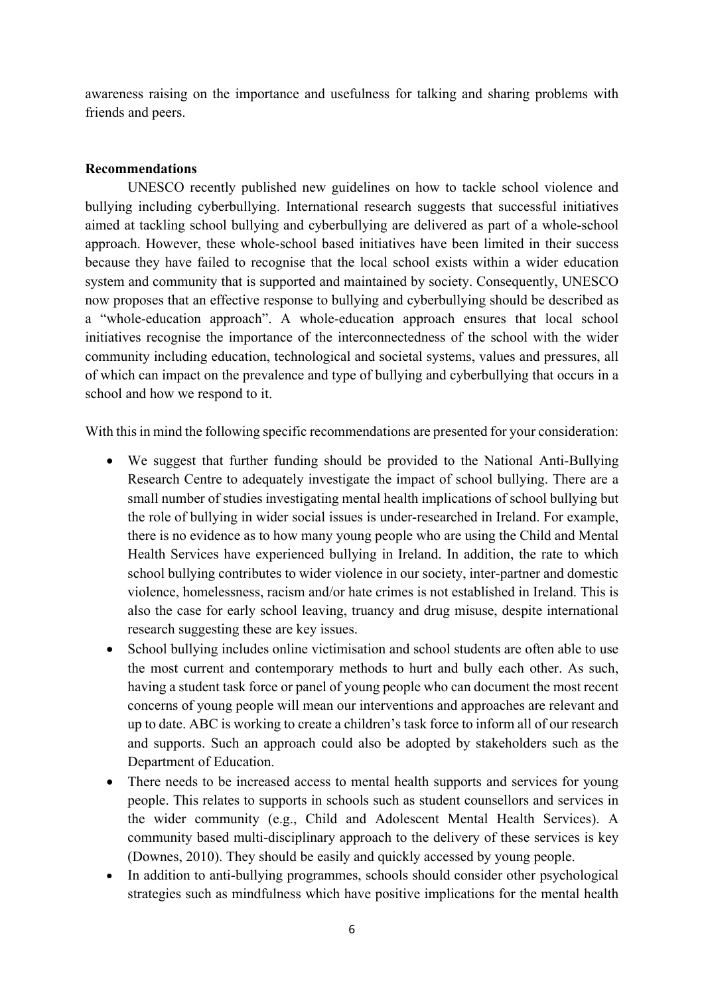awareness raising on the importance and usefulness for talking and sharing problems with friends and peers.

## **Recommendations**

UNESCO recently published new guidelines on how to tackle school violence and bullying including cyberbullying. International research suggests that successful initiatives aimed at tackling school bullying and cyberbullying are delivered as part of a whole-school approach. However, these whole-school based initiatives have been limited in their success because they have failed to recognise that the local school exists within a wider education system and community that is supported and maintained by society. Consequently, UNESCO now proposes that an effective response to bullying and cyberbullying should be described as a "whole-education approach". A whole-education approach ensures that local school initiatives recognise the importance of the interconnectedness of the school with the wider community including education, technological and societal systems, values and pressures, all of which can impact on the prevalence and type of bullying and cyberbullying that occurs in a school and how we respond to it.

With this in mind the following specific recommendations are presented for your consideration:

- We suggest that further funding should be provided to the National Anti-Bullying Research Centre to adequately investigate the impact of school bullying. There are a small number of studies investigating mental health implications of school bullying but the role of bullying in wider social issues is under-researched in Ireland. For example, there is no evidence as to how many young people who are using the Child and Mental Health Services have experienced bullying in Ireland. In addition, the rate to which school bullying contributes to wider violence in our society, inter-partner and domestic violence, homelessness, racism and/or hate crimes is not established in Ireland. This is also the case for early school leaving, truancy and drug misuse, despite international research suggesting these are key issues.
- School bullying includes online victimisation and school students are often able to use the most current and contemporary methods to hurt and bully each other. As such, having a student task force or panel of young people who can document the most recent concerns of young people will mean our interventions and approaches are relevant and up to date. ABC is working to create a children's task force to inform all of our research and supports. Such an approach could also be adopted by stakeholders such as the Department of Education.
- There needs to be increased access to mental health supports and services for young people. This relates to supports in schools such as student counsellors and services in the wider community (e.g., Child and Adolescent Mental Health Services). A community based multi-disciplinary approach to the delivery of these services is key (Downes, 2010). They should be easily and quickly accessed by young people.
- In addition to anti-bullying programmes, schools should consider other psychological strategies such as mindfulness which have positive implications for the mental health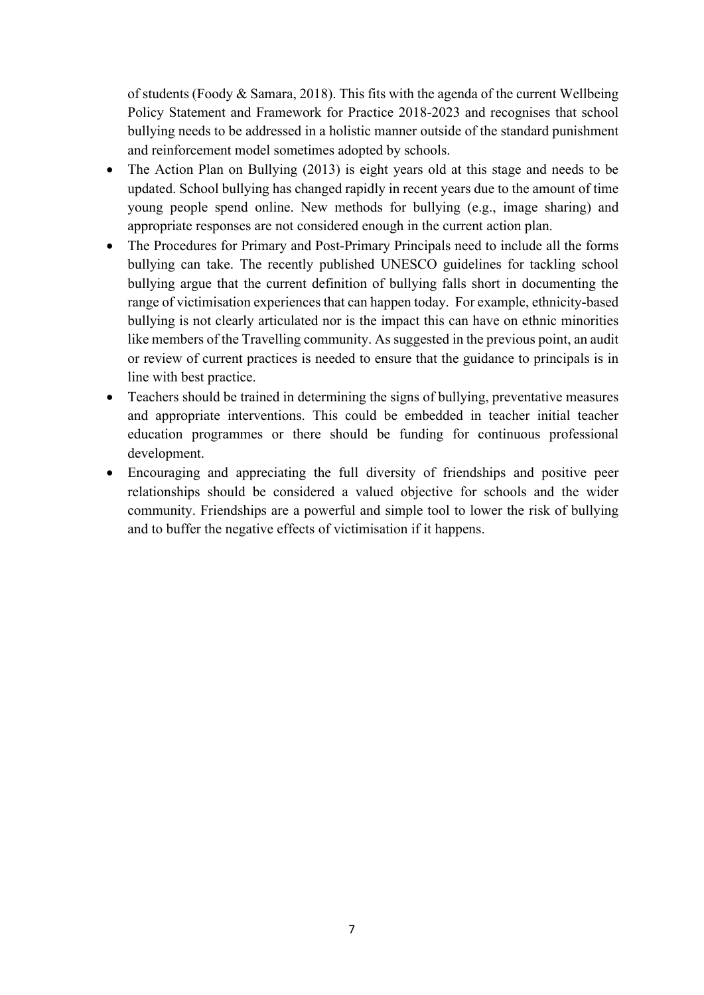of students (Foody & Samara, 2018). This fits with the agenda of the current Wellbeing Policy Statement and Framework for Practice 2018-2023 and recognises that school bullying needs to be addressed in a holistic manner outside of the standard punishment and reinforcement model sometimes adopted by schools.

- The Action Plan on Bullying (2013) is eight years old at this stage and needs to be updated. School bullying has changed rapidly in recent years due to the amount of time young people spend online. New methods for bullying (e.g., image sharing) and appropriate responses are not considered enough in the current action plan.
- The Procedures for Primary and Post-Primary Principals need to include all the forms bullying can take. The recently published UNESCO guidelines for tackling school bullying argue that the current definition of bullying falls short in documenting the range of victimisation experiences that can happen today. For example, ethnicity-based bullying is not clearly articulated nor is the impact this can have on ethnic minorities like members of the Travelling community. As suggested in the previous point, an audit or review of current practices is needed to ensure that the guidance to principals is in line with best practice.
- Teachers should be trained in determining the signs of bullying, preventative measures and appropriate interventions. This could be embedded in teacher initial teacher education programmes or there should be funding for continuous professional development.
- Encouraging and appreciating the full diversity of friendships and positive peer relationships should be considered a valued objective for schools and the wider community. Friendships are a powerful and simple tool to lower the risk of bullying and to buffer the negative effects of victimisation if it happens.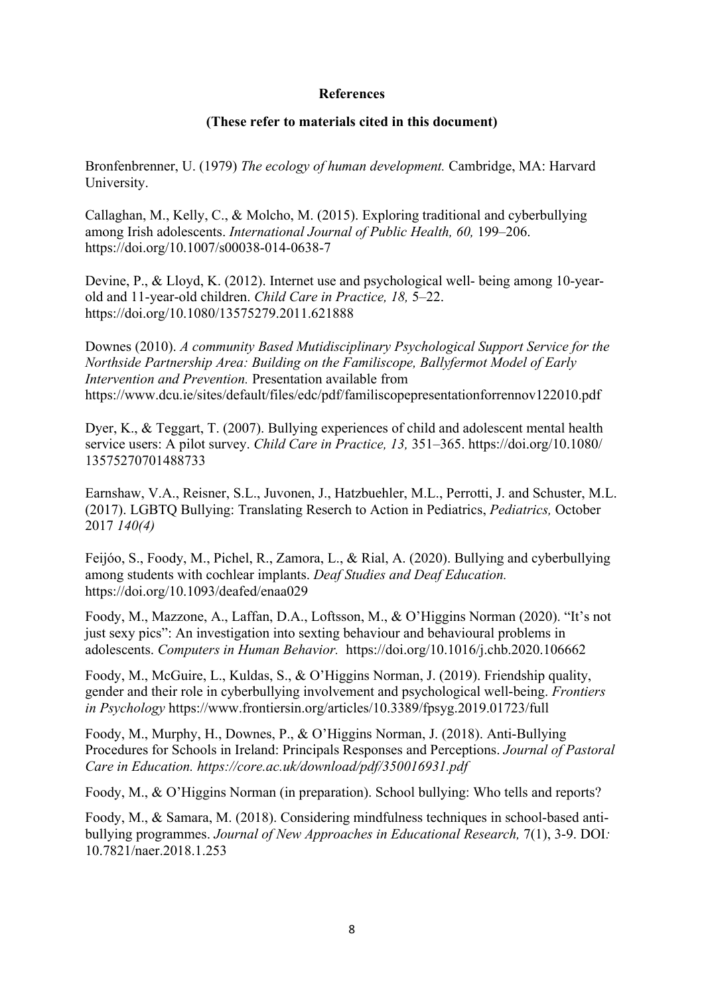## **References**

### **(These refer to materials cited in this document)**

Bronfenbrenner, U. (1979) *The ecology of human development.* Cambridge, MA: Harvard University.

Callaghan, M., Kelly, C., & Molcho, M. (2015). Exploring traditional and cyberbullying among Irish adolescents. *International Journal of Public Health, 60,* 199–206. https://doi.org/10.1007/s00038-014-0638-7

Devine, P., & Lloyd, K. (2012). Internet use and psychological well- being among 10-yearold and 11-year-old children. *Child Care in Practice, 18,* 5–22. <https://doi.org/10.1080/13575279.2011.621888>

Downes (2010). *A community Based Mutidisciplinary Psychological Support Service for the Northside Partnership Area: Building on the Familiscope, Ballyfermot Model of Early Intervention and Prevention.* Presentation available from https://www.dcu.ie/sites/default/files/edc/pdf/familiscopepresentationforrennov122010.pdf

Dyer, K., & Teggart, T. (2007). Bullying experiences of child and adolescent mental health service users: A pilot survey. *Child Care in Practice, 13,* 351–365. https://doi.org/10.1080/ 13575270701488733

Earnshaw, V.A., Reisner, S.L., Juvonen, J., Hatzbuehler, M.L., Perrotti, J. and Schuster, M.L. (2017). LGBTQ Bullying: Translating Reserch to Action in Pediatrics, *Pediatrics,* October 2017 *140(4)*

Feijóo, S., Foody, M., Pichel, R., Zamora, L., & Rial, A. (2020). Bullying and cyberbullying among students with cochlear implants. *Deaf Studies and Deaf Education.*  <https://doi.org/10.1093/deafed/enaa029>

Foody, M., Mazzone, A., Laffan, D.A., Loftsson, M., & O'Higgins Norman (2020). "It's not just sexy pics": An investigation into sexting behaviour and behavioural problems in adolescents. *Computers in Human Behavior.* <https://doi.org/10.1016/j.chb.2020.106662>

Foody, M., McGuire, L., Kuldas, S., & O'Higgins Norman, J. (2019). Friendship quality, gender and their role in cyberbullying involvement and psychological well-being. *Frontiers in Psychology* https://www.frontiersin.org/articles/10.3389/fpsyg.2019.01723/full

Foody, M., Murphy, H., Downes, P., & O'Higgins Norman, J. (2018). Anti-Bullying Procedures for Schools in Ireland: Principals Responses and Perceptions. *Journal of Pastoral Care in Education. https://core.ac.uk/download/pdf/350016931.pdf*

Foody, M., & O'Higgins Norman (in preparation). School bullying: Who tells and reports?

Foody, M., & Samara, M. (2018). Considering mindfulness techniques in school-based antibullying programmes. *Journal of New Approaches in Educational Research,* 7(1), 3-9. DOI*:*  10.7821/naer.2018.1.253